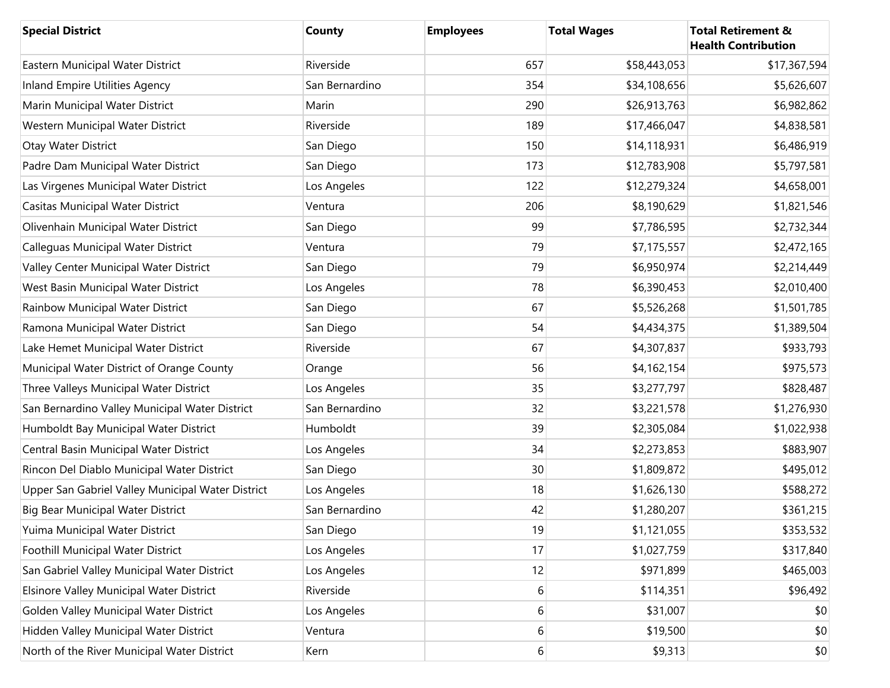| <b>Special District</b>                           | County         | <b>Employees</b> | <b>Total Wages</b> | <b>Total Retirement &amp;</b><br><b>Health Contribution</b> |
|---------------------------------------------------|----------------|------------------|--------------------|-------------------------------------------------------------|
| Eastern Municipal Water District                  | Riverside      | 657              | \$58,443,053       | \$17,367,594                                                |
| <b>Inland Empire Utilities Agency</b>             | San Bernardino | 354              | \$34,108,656       | \$5,626,607                                                 |
| Marin Municipal Water District                    | Marin          | 290              | \$26,913,763       | \$6,982,862                                                 |
| Western Municipal Water District                  | Riverside      | 189              | \$17,466,047       | \$4,838,581                                                 |
| Otay Water District                               | San Diego      | 150              | \$14,118,931       | \$6,486,919                                                 |
| Padre Dam Municipal Water District                | San Diego      | 173              | \$12,783,908       | \$5,797,581                                                 |
| Las Virgenes Municipal Water District             | Los Angeles    | 122              | \$12,279,324       | \$4,658,001                                                 |
| Casitas Municipal Water District                  | Ventura        | 206              | \$8,190,629        | \$1,821,546                                                 |
| Olivenhain Municipal Water District               | San Diego      | 99               | \$7,786,595        | \$2,732,344                                                 |
| <b>Calleguas Municipal Water District</b>         | Ventura        | 79               | \$7,175,557        | \$2,472,165                                                 |
| Valley Center Municipal Water District            | San Diego      | 79               | \$6,950,974        | \$2,214,449                                                 |
| West Basin Municipal Water District               | Los Angeles    | 78               | \$6,390,453        | \$2,010,400                                                 |
| Rainbow Municipal Water District                  | San Diego      | 67               | \$5,526,268        | \$1,501,785                                                 |
| Ramona Municipal Water District                   | San Diego      | 54               | \$4,434,375        | \$1,389,504                                                 |
| Lake Hemet Municipal Water District               | Riverside      | 67               | \$4,307,837        | \$933,793                                                   |
| Municipal Water District of Orange County         | Orange         | 56               | \$4,162,154        | \$975,573                                                   |
| Three Valleys Municipal Water District            | Los Angeles    | 35               | \$3,277,797        | \$828,487                                                   |
| San Bernardino Valley Municipal Water District    | San Bernardino | 32               | \$3,221,578        | \$1,276,930                                                 |
| Humboldt Bay Municipal Water District             | Humboldt       | 39               | \$2,305,084        | \$1,022,938                                                 |
| Central Basin Municipal Water District            | Los Angeles    | 34               | \$2,273,853        | \$883,907                                                   |
| Rincon Del Diablo Municipal Water District        | San Diego      | 30               | \$1,809,872        | \$495,012                                                   |
| Upper San Gabriel Valley Municipal Water District | Los Angeles    | 18               | \$1,626,130        | \$588,272                                                   |
| Big Bear Municipal Water District                 | San Bernardino | 42               | \$1,280,207        | \$361,215                                                   |
| Yuima Municipal Water District                    | San Diego      | 19               | \$1,121,055        | \$353,532                                                   |
| Foothill Municipal Water District                 | Los Angeles    | 17               | \$1,027,759        | \$317,840                                                   |
| San Gabriel Valley Municipal Water District       | Los Angeles    | 12               | \$971,899          | \$465,003                                                   |
| Elsinore Valley Municipal Water District          | Riverside      | 6                | \$114,351          | \$96,492                                                    |
| Golden Valley Municipal Water District            | Los Angeles    | 6                | \$31,007           | \$0                                                         |
| Hidden Valley Municipal Water District            | Ventura        | 6                | \$19,500           | \$0                                                         |
| North of the River Municipal Water District       | Kern           | 6                | \$9,313            | \$0                                                         |